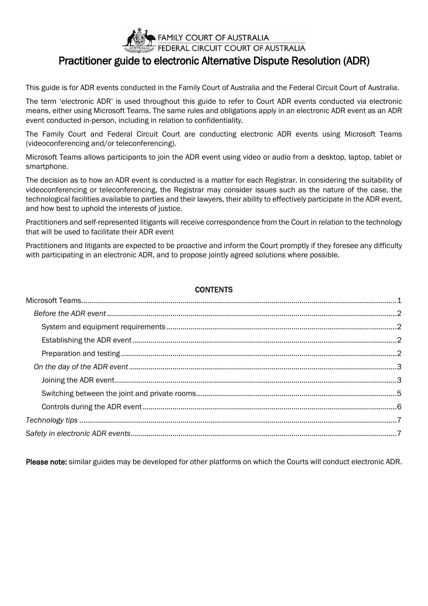

# Practitioner guide to electronic Alternative Dispute Resolution (ADR)

This guide is for ADR events conducted in the Family Court of Australia and the Federal Circuit Court of Australia.

The term 'electronic ADR' is used throughout this guide to refer to Court ADR events conducted via electronic means, either using Microsoft Teams. The same rules and obligations apply in an electronic ADR event as an ADR event conducted in-person, including in relation to confidentiality.

The Family Court and Federal Circuit Court are conducting electronic ADR events using Microsoft Teams (videoconferencing and/or teleconferencing).

Microsoft Teams allows participants to join the ADR event using video or audio from a desktop, laptop, tablet or smartphone.

The decision as to how an ADR event is conducted is a matter for each Registrar. In considering the suitability of videoconferencing or teleconferencing, the Registrar may consider issues such as the nature of the case, the technological facilities available to parties and their lawyers, their ability to effectively participate in the ADR event, and how best to uphold the interests of justice.

Practitioners and self-represented litigants will receive correspondence from the Court in relation to the technology that will be used to facilitate their ADR event

Practitioners and litigants are expected to be proactive and inform the Court promptly if they foresee any difficulty with participating in an electronic ADR, and to propose jointly agreed solutions where possible.

### **CONTENTS**

<span id="page-0-0"></span>Please note: similar guides may be developed for other platforms on which the Courts will conduct electronic ADR.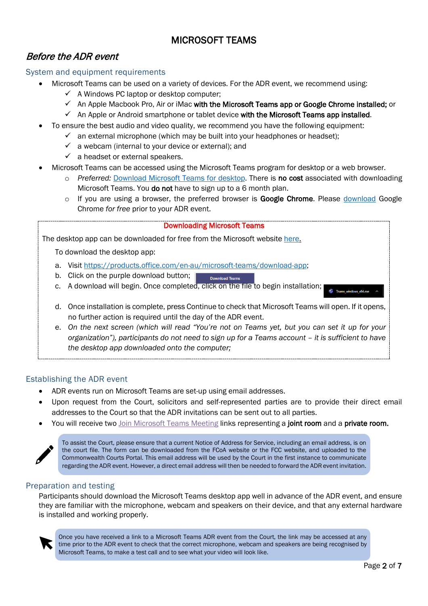## MICROSOFT TEAMS

### <span id="page-1-0"></span>Before the ADR event

#### <span id="page-1-1"></span>System and equipment requirements

- Microsoft Teams can be used on a variety of devices. For the ADR event, we recommend using:
	- $\checkmark$  A Windows PC laptop or desktop computer;
	- $\checkmark$  An Apple Macbook Pro, Air or iMac with the Microsoft Teams app or Google Chrome installed; or
	- $\checkmark$  An Apple or Android smartphone or tablet device with the Microsoft Teams app installed.
- To ensure the best audio and video quality, we recommend you have the following equipment:
	- $\checkmark$  an external microphone (which may be built into your headphones or headset);
		- $\checkmark$  a webcam (internal to your device or external); and
		- $\checkmark$  a headset or external speakers.
- Microsoft Teams can be accessed using the Microsoft Teams program for desktop or a web browser.
	- o *Preferred:* [Download Microsoft Teams for desktop.](https://products.office.com/en-au/microsoft-teams/download-app#desktopAppDownloadregion) There is no cost associated with downloading Microsoft Teams. You **do not** have to sign up to a 6 month plan.
	- $\circ$  If you are using a browser, the preferred browser is **Google Chrome**. Please [download](https://www.google.com/chrome/) Google Chrome *for free* prior to your ADR event.

### Downloading Microsoft Teams The desktop app can be downloaded for free from the Microsoft website [here.](https://products.office.com/en-au/microsoft-teams/download-app) To download the desktop app: a. Visit [https://products.office.com/en-au/microsoft-teams/download-app;](https://products.office.com/en-au/microsoft-teams/download-app) b. Click on the purple download button; **Download Teams** c. A download will begin. Once completed, click on the file to begin installation; d. Once installation is complete, press Continue to check that Microsoft Teams will open. If it opens, no further action is required until the day of the ADR event.

e. *On the next screen (which will read "You're not on Teams yet, but you can set it up for your organization"), participants do not need to sign up for a Teams account – it is sufficient to have the desktop app downloaded onto the computer;*

### <span id="page-1-2"></span>Establishing the ADR event

- ADR events run on Microsoft Teams are set-up using email addresses.
- Upon request from the Court, solicitors and self-represented parties are to provide their direct email addresses to the Court so that the ADR invitations can be sent out to all parties.
- You will receive two Join Microsoft Teams Meeting links representing a joint room and a private room.

<span id="page-1-3"></span>To assist the Court, please ensure that a current Notice of Address for Service, including an email address, is on the court file. The form can be downloaded from the FCoA website or the FCC website, and uploaded to the Commonwealth Courts Portal. This email address will be used by the Court in the first instance to communicate regarding the ADR event. However, a direct email address will then be needed to forward the ADR event invitation.

#### Preparation and testing

Participants should download the Microsoft Teams desktop app well in advance of the ADR event, and ensure they are familiar with the microphone, webcam and speakers on their device, and that any external hardware is installed and working properly.



Once you have received a link to a Microsoft Teams ADR event from the Court, the link may be accessed at any time prior to the ADR event to check that the correct microphone, webcam and speakers are being recognised by Microsoft Teams, to make a test call and to see what your video will look like.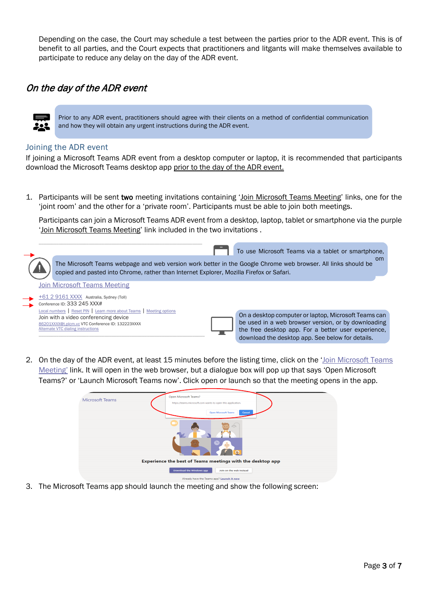Depending on the case, the Court may schedule a test between the parties prior to the ADR event. This is of benefit to all parties, and the Court expects that practitioners and litgants will make themselves available to participate to reduce any delay on the day of the ADR event.

### <span id="page-2-0"></span>On the day of the ADR event

Prior to any ADR event, practitioners should agree with their clients on a method of confidential communication and how they will obtain any urgent instructions during the ADR event.

#### <span id="page-2-1"></span>Joining the ADR event

If joining a Microsoft Teams ADR event from a desktop computer or laptop, it is recommended that participants download the Microsoft Teams desktop app prior to the day of the ADR event.

1. Participants will be sent two meeting invitations containing 'Join Microsoft Teams Meeting' links, one for the 'joint room' and the other for a 'private room'. Participants must be able to join both meetings.

Participants can join a Microsoft Teams ADR event from a desktop, laptop, tablet or smartphone via the purple 'Join Microsoft Teams Meeting' link included in the two invitations .

| The Microsoft Teams webpage and web version work better in the Google Chrome web browser. All links should be  | To use Microsoft Teams via a tablet or smartphone.   |
|----------------------------------------------------------------------------------------------------------------|------------------------------------------------------|
| copied and pasted into Chrome, rather than Internet Explorer, Mozilla Firefox or Safari.                       | om                                                   |
| <b>Join Microsoft Teams Meeting</b><br>+61 2 9161 XXXX Australia, Sydney (Toll)<br>Conference ID: 333 245 XXX# |                                                      |
| Local numbers   Reset PIN   Learn more about Teams   Meeting options                                           | On a desktop computer or laptop, Microsoft Teams can |
| Join with a video conferencing device                                                                          | be used in a web browser version, or by downloading  |
| 86201XXXX@t.plcm.vc VTC Conference ID: 132223XXXX                                                              | the free desktop app. For a better user experience,  |
| Alternate VTC dialing instructions                                                                             | download the desktop app. See below for details.     |

2. On the day of the ADR event, at least 15 minutes before the listing time, click on the 'Join Microsoft Teams Meeting' link. It will open in the web browser, but a dialogue box will pop up that says 'Open Microsoft Teams?' or 'Launch Microsoft Teams now'. Click open or launch so that the meeting opens in the app.



3. The Microsoft Teams app should launch the meeting and show the following screen: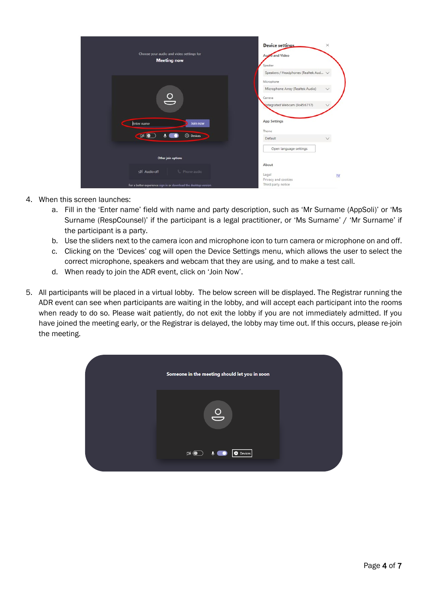| Choose your audio and video settings for<br><b>Meeting now</b>                                                                                                                 | <b>Device settings</b><br>$\times$<br>Audio and Video<br>Speaker<br>Speakers / Headphones (Realtek Aud V                                  |
|--------------------------------------------------------------------------------------------------------------------------------------------------------------------------------|-------------------------------------------------------------------------------------------------------------------------------------------|
| $\frac{1}{\sqrt{2}}$<br>Enter name<br>Join now                                                                                                                                 | Microphone<br>Microphone Array (Realtek Audio)<br>$\checkmark$<br>Camera<br>Integrated Webcam (0c45:6717)<br><b>App Settings</b><br>Theme |
| <b>CISA O</b><br><b><i><u>O Devices</u></i></b><br>0<br>Other join options<br>Số Audio off<br>& Phone audio<br>For a better experience sign in or download the desktop version | Default<br>Open language settings<br>About<br>Legal<br>$\mathbf{u}$<br>Privacy and cookies<br>Third party notice                          |

- 4. When this screen launches:
	- a. Fill in the 'Enter name' field with name and party description, such as 'Mr Surname (AppSoli)' or 'Ms Surname (RespCounsel)' if the participant is a legal practitioner, or 'Ms Surname' / 'Mr Surname' if the participant is a party.
	- b. Use the sliders next to the camera icon and microphone icon to turn camera or microphone on and off.
	- c. Clicking on the 'Devices' cog will open the Device Settings menu, which allows the user to select the correct microphone, speakers and webcam that they are using, and to make a test call.
	- d. When ready to join the ADR event, click on 'Join Now'.
- 5. All participants will be placed in a virtual lobby. The below screen will be displayed. The Registrar running the ADR event can see when participants are waiting in the lobby, and will accept each participant into the rooms when ready to do so. Please wait patiently, do not exit the lobby if you are not immediately admitted. If you have joined the meeting early, or the Registrar is delayed, the lobby may time out. If this occurs, please re-join the meeting.

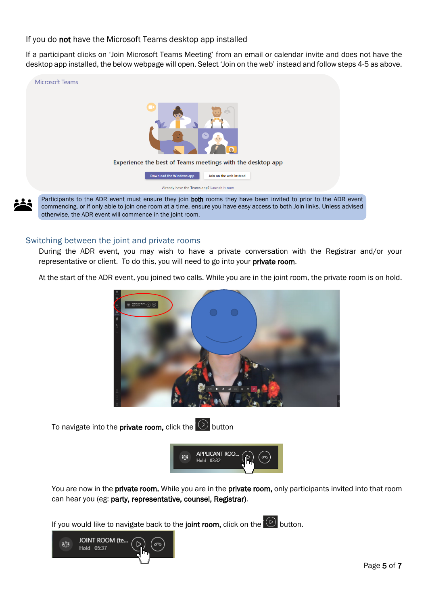#### If you do not have the Microsoft Teams desktop app installed

If a participant clicks on 'Join Microsoft Teams Meeting' from an email or calendar invite and does not have the desktop app installed, the below webpage will open. Select 'Join on the web' instead and follow steps 4-5 as above.



#### <span id="page-4-0"></span>Switching between the joint and private rooms

During the ADR event, you may wish to have a private conversation with the Registrar and/or your representative or client. To do this, you will need to go into your private room.

At the start of the ADR event, you joined two calls. While you are in the joint room, the private room is on hold.



To navigate into the **private room,** click the  $\overline{\circ}$  button



You are now in the private room. While you are in the private room, only participants invited into that room can hear you (eg: party, representative, counsel, Registrar).

If you would like to navigate back to the joint room, click on the  $\overline{\circledcirc}$  button.

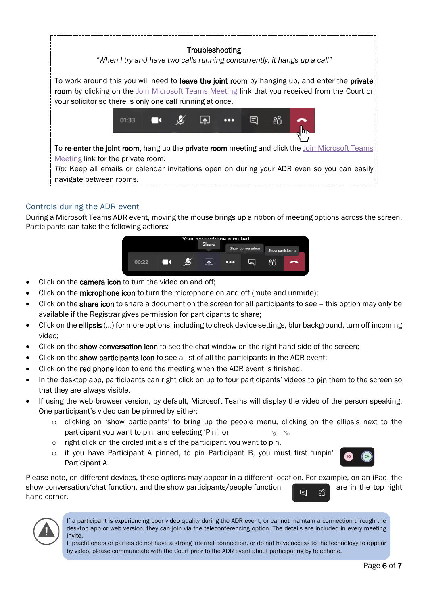

### <span id="page-5-0"></span>Controls during the ADR event

During a Microsoft Teams ADR event, moving the mouse brings up a ribbon of meeting options across the screen. Participants can take the following actions:



- Click on the **camera icon** to turn the video on and off;
- Click on the microphone icon to turn the microphone on and off (mute and unmute);
- Click on the **share icon** to share a document on the screen for all participants to see this option may only be available if the Registrar gives permission for participants to share;
- Click on the **ellipsis** (...) for more options, including to check device settings, blur background, turn off incoming video;
- Click on the show conversation icon to see the chat window on the right hand side of the screen;
- Click on the show participants icon to see a list of all the participants in the ADR event;
- Click on the **red phone** icon to end the meeting when the ADR event is finished.
- In the desktop app, participants can right click on up to four participants' videos to pin them to the screen so that they are always visible.
- If using the web browser version, by default, Microsoft Teams will display the video of the person speaking. One participant's video can be pinned by either:
	- o clicking on 'show participants' to bring up the people menu, clicking on the ellipsis next to the participant you want to pin, and selecting 'Pin'; or  $\frac{2}{3}$  Pin
	- o right click on the circled initials of the participant you want to pin.
	- $\circ$  if you have Participant A pinned, to pin Participant B, you must first 'unpin' Participant A.



Please note, on different devices, these options may appear in a different location. For example, on an iPad, the show conversation/chat function, and the show participants/people function are in the top right hand corner.



If a participant is experiencing poor video quality during the ADR event, or cannot maintain a connection through the desktop app or web version, they can join via the teleconferencing option. The details are included in every meeting invite.

If practitioners or parties do not have a strong internet connection, or do not have access to the technology to appear by video, please communicate with the Court prior to the ADR event about participating by telephone.